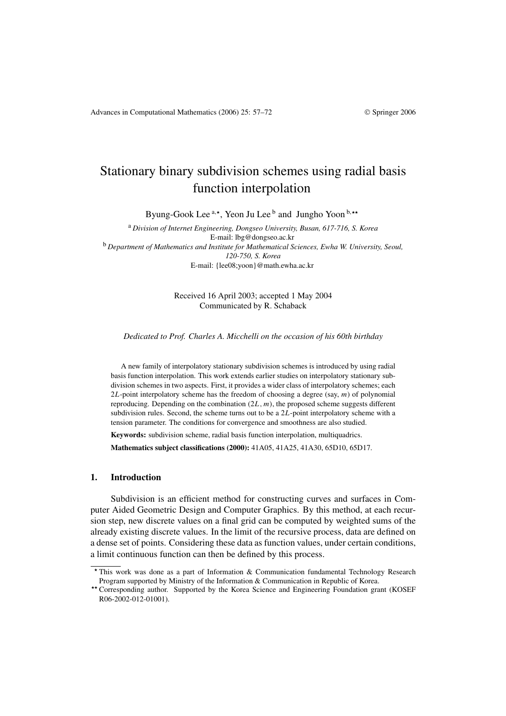# Stationary binary subdivision schemes using radial basis function interpolation

Byung-Gook Lee <sup>a,\*</sup>, Yeon Ju Lee <sup>b</sup> and Jungho Yoon <sup>b,\*\*</sup>

<sup>a</sup> *Division of Internet Engineering, Dongseo University, Busan, 617-716, S. Korea* E-mail: lbg@dongseo.ac.kr <sup>b</sup> *Department of Mathematics and Institute for Mathematical Sciences, Ewha W. University, Seoul, 120-750, S. Korea* E-mail: {lee08;yoon}@math.ewha.ac.kr

> Received 16 April 2003; accepted 1 May 2004 Communicated by R. Schaback

*Dedicated to Prof. Charles A. Micchelli on the occasion of his 60th birthday*

A new family of interpolatory stationary subdivision schemes is introduced by using radial basis function interpolation. This work extends earlier studies on interpolatory stationary subdivision schemes in two aspects. First, it provides a wider class of interpolatory schemes; each 2*L*-point interpolatory scheme has the freedom of choosing a degree (say, *m*) of polynomial reproducing. Depending on the combination *(*2*L, m)*, the proposed scheme suggests different subdivision rules. Second, the scheme turns out to be a 2*L*-point interpolatory scheme with a tension parameter. The conditions for convergence and smoothness are also studied.

**Keywords:** subdivision scheme, radial basis function interpolation, multiquadrics.

**Mathematics subject classifications (2000):** 41A05, 41A25, 41A30, 65D10, 65D17.

## **1. Introduction**

Subdivision is an efficient method for constructing curves and surfaces in Computer Aided Geometric Design and Computer Graphics. By this method, at each recursion step, new discrete values on a final grid can be computed by weighted sums of the already existing discrete values. In the limit of the recursive process, data are defined on a dense set of points. Considering these data as function values, under certain conditions, a limit continuous function can then be defined by this process.

This work was done as a part of Information & Communication fundamental Technology Research

Program supported by Ministry of the Information & Communication in Republic of Korea.<br>
\*\* Corresponding author. Supported by the Korea Science and Engineering Foundation grant (KOSEF R06-2002-012-01001).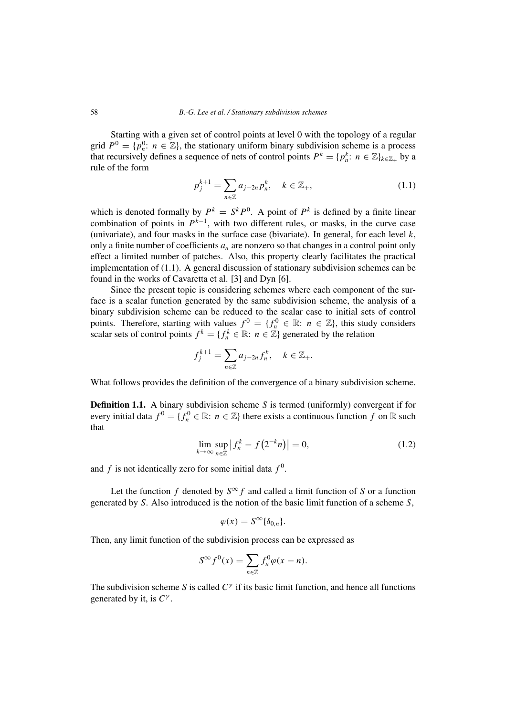Starting with a given set of control points at level 0 with the topology of a regular grid  $P^0 = \{p_n^0: n \in \mathbb{Z}\}\$ , the stationary uniform binary subdivision scheme is a process that recursively defines a sequence of nets of control points  $P^k = \{p_n^k : n \in \mathbb{Z}\}_{k \in \mathbb{Z}_+}$  by a rule of the form

$$
p_j^{k+1} = \sum_{n \in \mathbb{Z}} a_{j-2n} p_n^k, \quad k \in \mathbb{Z}_+, \tag{1.1}
$$

which is denoted formally by  $P^k = S^k P^0$ . A point of  $P^k$  is defined by a finite linear combination of points in  $P^{k-1}$ , with two different rules, or masks, in the curve case (univariate), and four masks in the surface case (bivariate). In general, for each level  $k$ , only a finite number of coefficients  $a_n$  are nonzero so that changes in a control point only effect a limited number of patches. Also, this property clearly facilitates the practical implementation of (1.1). A general discussion of stationary subdivision schemes can be found in the works of Cavaretta et al. [3] and Dyn [6].

Since the present topic is considering schemes where each component of the surface is a scalar function generated by the same subdivision scheme, the analysis of a binary subdivision scheme can be reduced to the scalar case to initial sets of control points. Therefore, starting with values  $f^0 = \{f_n^0 \in \mathbb{R} : n \in \mathbb{Z}\}$ , this study considers scalar sets of control points  $f^k = \{f_n^k \in \mathbb{R} : n \in \mathbb{Z}\}\$  generated by the relation

$$
f_j^{k+1} = \sum_{n \in \mathbb{Z}} a_{j-2n} f_n^k, \quad k \in \mathbb{Z}_+.
$$

What follows provides the definition of the convergence of a binary subdivision scheme.

**Definition 1.1.** A binary subdivision scheme *S* is termed (uniformly) convergent if for every initial data  $f^0 = \{f_n^0 \in \mathbb{R} : n \in \mathbb{Z}\}\$  there exists a continuous function  $f$  on  $\mathbb R$  such that

$$
\lim_{k \to \infty} \sup_{n \in \mathbb{Z}} |f_n^k - f(2^{-k}n)| = 0,
$$
\n(1.2)

and  $f$  is not identically zero for some initial data  $f^0$ .

Let the function *f* denoted by  $S^{\infty}$  *f* and called a limit function of *S* or a function generated by *S*. Also introduced is the notion of the basic limit function of a scheme *S*,

$$
\varphi(x) = S^{\infty} \{ \delta_{0,n} \}.
$$

Then, any limit function of the subdivision process can be expressed as

$$
S^{\infty} f^{0}(x) = \sum_{n \in \mathbb{Z}} f_{n}^{0} \varphi(x - n).
$$

The subdivision scheme *S* is called *C<sup>γ</sup>* if its basic limit function, and hence all functions generated by it, is *C<sup>γ</sup>* .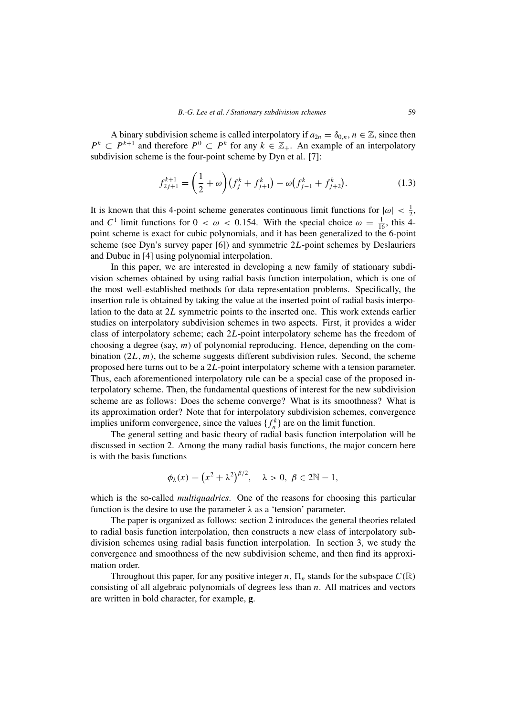A binary subdivision scheme is called interpolatory if  $a_{2n} = \delta_{0,n}$ ,  $n \in \mathbb{Z}$ , since then  $P^k \subset P^{k+1}$  and therefore  $P^0 \subset P^k$  for any  $k \in \mathbb{Z}_+$ . An example of an interpolatory subdivision scheme is the four-point scheme by Dyn et al. [7]:

$$
f_{2j+1}^{k+1} = \left(\frac{1}{2} + \omega\right) \left(f_j^k + f_{j+1}^k\right) - \omega \left(f_{j-1}^k + f_{j+2}^k\right). \tag{1.3}
$$

It is known that this 4-point scheme generates continuous limit functions for  $|\omega| < \frac{1}{2}$ , and  $C^1$  limit functions for  $0 < \omega < 0.154$ . With the special choice  $\omega = \frac{1}{16}$ , this 4point scheme is exact for cubic polynomials, and it has been generalized to the 6-point scheme (see Dyn's survey paper [6]) and symmetric 2*L*-point schemes by Deslauriers and Dubuc in [4] using polynomial interpolation.

In this paper, we are interested in developing a new family of stationary subdivision schemes obtained by using radial basis function interpolation, which is one of the most well-established methods for data representation problems. Specifically, the insertion rule is obtained by taking the value at the inserted point of radial basis interpolation to the data at 2*L* symmetric points to the inserted one. This work extends earlier studies on interpolatory subdivision schemes in two aspects. First, it provides a wider class of interpolatory scheme; each 2*L*-point interpolatory scheme has the freedom of choosing a degree (say, *m*) of polynomial reproducing. Hence, depending on the combination  $(2*L*, *m*)$ , the scheme suggests different subdivision rules. Second, the scheme proposed here turns out to be a 2*L*-point interpolatory scheme with a tension parameter. Thus, each aforementioned interpolatory rule can be a special case of the proposed interpolatory scheme. Then, the fundamental questions of interest for the new subdivision scheme are as follows: Does the scheme converge? What is its smoothness? What is its approximation order? Note that for interpolatory subdivision schemes, convergence implies uniform convergence, since the values  $\{f_n^k\}$  are on the limit function.

The general setting and basic theory of radial basis function interpolation will be discussed in section 2. Among the many radial basis functions, the major concern here is with the basis functions

$$
\phi_{\lambda}(x) = (x^2 + \lambda^2)^{\beta/2}, \quad \lambda > 0, \ \beta \in 2\mathbb{N} - 1,
$$

which is the so-called *multiquadrics*. One of the reasons for choosing this particular function is the desire to use the parameter  $\lambda$  as a 'tension' parameter.

The paper is organized as follows: section 2 introduces the general theories related to radial basis function interpolation, then constructs a new class of interpolatory subdivision schemes using radial basis function interpolation. In section 3, we study the convergence and smoothness of the new subdivision scheme, and then find its approximation order.

Throughout this paper, for any positive integer *n*,  $\Pi_n$  stands for the subspace  $C(\mathbb{R})$ consisting of all algebraic polynomials of degrees less than *n*. All matrices and vectors are written in bold character, for example, **g**.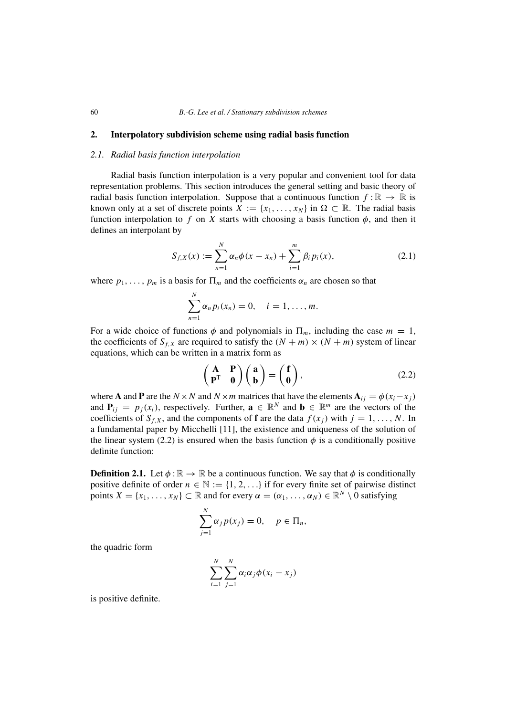# **2. Interpolatory subdivision scheme using radial basis function**

## *2.1. Radial basis function interpolation*

Radial basis function interpolation is a very popular and convenient tool for data representation problems. This section introduces the general setting and basic theory of radial basis function interpolation. Suppose that a continuous function  $f : \mathbb{R} \to \mathbb{R}$  is known only at a set of discrete points  $X := \{x_1, \ldots, x_N\}$  in  $\Omega \subset \mathbb{R}$ . The radial basis function interpolation to f on X starts with choosing a basis function  $\phi$ , and then it defines an interpolant by

$$
S_{f,X}(x) := \sum_{n=1}^{N} \alpha_n \phi(x - x_n) + \sum_{i=1}^{m} \beta_i p_i(x),
$$
 (2.1)

where  $p_1, \ldots, p_m$  is a basis for  $\Pi_m$  and the coefficients  $\alpha_n$  are chosen so that

$$
\sum_{n=1}^N \alpha_n p_i(x_n) = 0, \quad i = 1, \ldots, m.
$$

For a wide choice of functions  $\phi$  and polynomials in  $\Pi_m$ , including the case  $m = 1$ , the coefficients of  $S_{f,X}$  are required to satisfy the  $(N + m) \times (N + m)$  system of linear equations, which can be written in a matrix form as

$$
\begin{pmatrix} \mathbf{A} & \mathbf{P} \\ \mathbf{P}^{\mathrm{T}} & \mathbf{0} \end{pmatrix} \begin{pmatrix} \mathbf{a} \\ \mathbf{b} \end{pmatrix} = \begin{pmatrix} \mathbf{f} \\ \mathbf{0} \end{pmatrix},
$$
(2.2)

where **A** and **P** are the *N* × *N* and *N* × *m* matrices that have the elements  $A_{ij} = \phi(x_i - x_j)$ and  $P_{ij} = p_j(x_i)$ , respectively. Further,  $\mathbf{a} \in \mathbb{R}^N$  and  $\mathbf{b} \in \mathbb{R}^m$  are the vectors of the coefficients of  $S_{f,X}$ , and the components of **f** are the data  $f(x_i)$  with  $j = 1, \ldots, N$ . In a fundamental paper by Micchelli [11], the existence and uniqueness of the solution of the linear system (2.2) is ensured when the basis function  $\phi$  is a conditionally positive definite function:

**Definition 2.1.** Let  $\phi : \mathbb{R} \to \mathbb{R}$  be a continuous function. We say that  $\phi$  is conditionally positive definite of order  $n \in \mathbb{N} := \{1, 2, ...\}$  if for every finite set of pairwise distinct points  $X = \{x_1, \ldots, x_N\} \subset \mathbb{R}$  and for every  $\alpha = (\alpha_1, \ldots, \alpha_N) \in \mathbb{R}^N \setminus 0$  satisfying

$$
\sum_{j=1}^N \alpha_j p(x_j) = 0, \quad p \in \Pi_n,
$$

the quadric form

$$
\sum_{i=1}^N \sum_{j=1}^N \alpha_i \alpha_j \phi(x_i - x_j)
$$

is positive definite.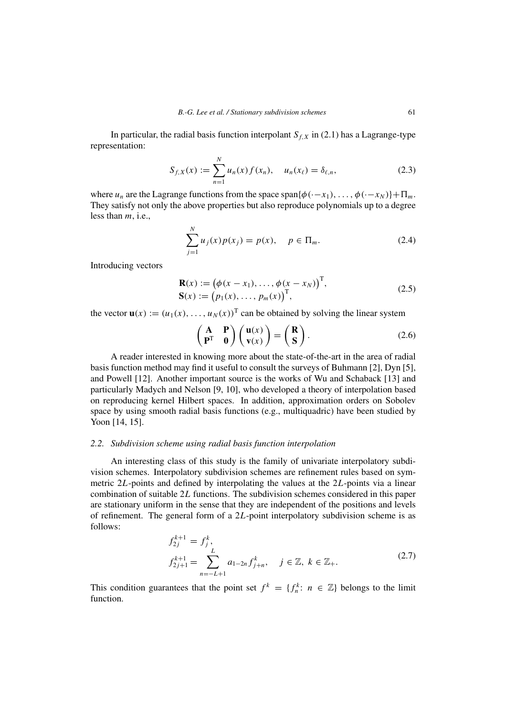In particular, the radial basis function interpolant  $S_{f,X}$  in (2.1) has a Lagrange-type representation:

$$
S_{f,X}(x) := \sum_{n=1}^{N} u_n(x) f(x_n), \quad u_n(x_\ell) = \delta_{\ell,n},
$$
 (2.3)

where *u<sub>n</sub>* are the Lagrange functions from the space span ${\phi(\cdot-x_1), \ldots, \phi(\cdot-x_N)}$  +  $\Pi_m$ . They satisfy not only the above properties but also reproduce polynomials up to a degree less than *m*, i.e.,

$$
\sum_{j=1}^{N} u_j(x) p(x_j) = p(x), \quad p \in \Pi_m.
$$
 (2.4)

Introducing vectors

$$
\mathbf{R}(x) := (\phi(x - x_1), \dots, \phi(x - x_N))^{\mathrm{T}},
$$
  
\n
$$
\mathbf{S}(x) := (p_1(x), \dots, p_m(x))^{\mathrm{T}},
$$
\n(2.5)

the vector  $\mathbf{u}(x) := (u_1(x), \dots, u_N(x))^T$  can be obtained by solving the linear system

$$
\begin{pmatrix} \mathbf{A} & \mathbf{P} \\ \mathbf{P}^{\mathrm{T}} & \mathbf{0} \end{pmatrix} \begin{pmatrix} \mathbf{u}(x) \\ \mathbf{v}(x) \end{pmatrix} = \begin{pmatrix} \mathbf{R} \\ \mathbf{S} \end{pmatrix}.
$$
 (2.6)

A reader interested in knowing more about the state-of-the-art in the area of radial basis function method may find it useful to consult the surveys of Buhmann [2], Dyn [5], and Powell [12]. Another important source is the works of Wu and Schaback [13] and particularly Madych and Nelson [9, 10], who developed a theory of interpolation based on reproducing kernel Hilbert spaces. In addition, approximation orders on Sobolev space by using smooth radial basis functions (e.g., multiquadric) have been studied by Yoon [14, 15].

# *2.2. Subdivision scheme using radial basis function interpolation*

An interesting class of this study is the family of univariate interpolatory subdivision schemes. Interpolatory subdivision schemes are refinement rules based on symmetric 2*L*-points and defined by interpolating the values at the 2*L*-points via a linear combination of suitable 2*L* functions. The subdivision schemes considered in this paper are stationary uniform in the sense that they are independent of the positions and levels of refinement. The general form of a 2*L*-point interpolatory subdivision scheme is as follows:

$$
f_{2j}^{k+1} = f_j^k,
$$
  
\n
$$
f_{2j+1}^{k+1} = \sum_{n=-L+1}^{L} a_{1-2n} f_{j+n}^k, \quad j \in \mathbb{Z}, \ k \in \mathbb{Z}_+.
$$
\n(2.7)

This condition guarantees that the point set  $f^k = \{f_n^k : n \in \mathbb{Z}\}\)$  belongs to the limit function.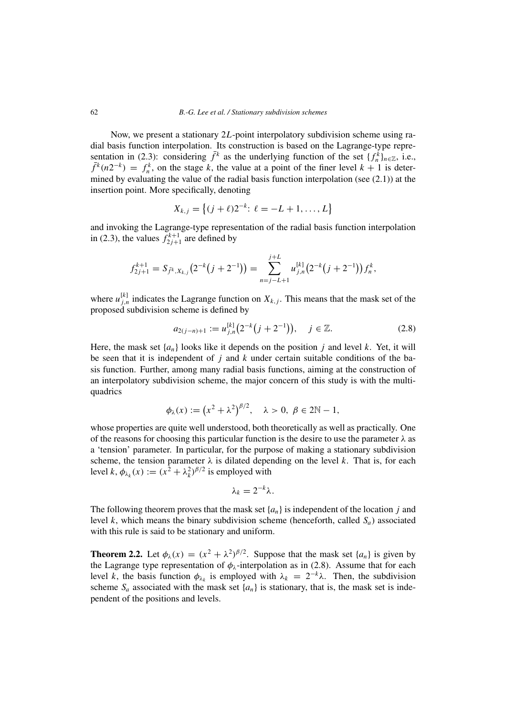Now, we present a stationary 2*L*-point interpolatory subdivision scheme using radial basis function interpolation. Its construction is based on the Lagrange-type representation in (2.3): considering  $\bar{f}^k$  as the underlying function of the set  $\{f^k_n\}_{n\in\mathbb{Z}}$ , i.e.,  $\bar{f}^k(n2^{-k}) = f_n^k$ , on the stage *k*, the value at a point of the finer level  $k + 1$  is determined by evaluating the value of the radial basis function interpolation (see (2.1)) at the insertion point. More specifically, denoting

$$
X_{k,j} = \{(j+\ell)2^{-k}: \ell = -L+1, \ldots, L\}
$$

and invoking the Lagrange-type representation of the radial basis function interpolation in (2.3), the values  $f_{2j+1}^{k+1}$  are defined by

$$
f_{2j+1}^{k+1} = S_{\bar{f}^k, X_{k,j}}(2^{-k}(j+2^{-1})) = \sum_{n=j-L+1}^{j+L} u_{j,n}^{[k]}(2^{-k}(j+2^{-1})) f_n^k,
$$

where  $u_{j,n}^{[k]}$  indicates the Lagrange function on  $X_{k,j}$ . This means that the mask set of the proposed subdivision scheme is defined by

$$
a_{2(j-n)+1} := u_{j,n}^{[k]} (2^{-k} (j+2^{-1})), \quad j \in \mathbb{Z}.
$$
 (2.8)

Here, the mask set  $\{a_n\}$  looks like it depends on the position *j* and level *k*. Yet, it will be seen that it is independent of *j* and *k* under certain suitable conditions of the basis function. Further, among many radial basis functions, aiming at the construction of an interpolatory subdivision scheme, the major concern of this study is with the multiquadrics

$$
\phi_{\lambda}(x) := (x^2 + \lambda^2)^{\beta/2}, \quad \lambda > 0, \ \beta \in 2\mathbb{N} - 1,
$$

whose properties are quite well understood, both theoretically as well as practically. One of the reasons for choosing this particular function is the desire to use the parameter *λ* as a 'tension' parameter. In particular, for the purpose of making a stationary subdivision scheme, the tension parameter  $\lambda$  is dilated depending on the level  $k$ . That is, for each level  $k$ ,  $\phi_{\lambda_k}(x) := (x^2 + \lambda_k^2)^{\beta/2}$  is employed with

$$
\lambda_k=2^{-k}\lambda.
$$

The following theorem proves that the mask set  $\{a_n\}$  is independent of the location *j* and level *k*, which means the binary subdivision scheme (henceforth, called  $S_a$ ) associated with this rule is said to be stationary and uniform.

**Theorem 2.2.** Let  $\phi_{\lambda}(x) = (x^2 + \lambda^2)^{\beta/2}$ . Suppose that the mask set  $\{a_n\}$  is given by the Lagrange type representation of  $\phi_{\lambda}$ -interpolation as in (2.8). Assume that for each level *k*, the basis function  $\phi_{\lambda_k}$  is employed with  $\lambda_k = 2^{-k}\lambda$ . Then, the subdivision scheme  $S_a$  associated with the mask set  $\{a_n\}$  is stationary, that is, the mask set is independent of the positions and levels.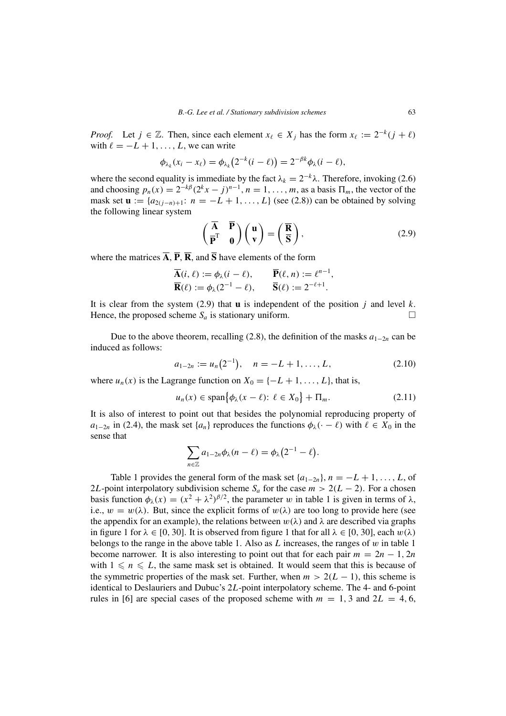*Proof.* Let  $j \in \mathbb{Z}$ . Then, since each element  $x_{\ell} \in X_j$  has the form  $x_{\ell} := 2^{-k}(j + \ell)$ with  $\ell = -L + 1, \ldots, L$ , we can write

$$
\phi_{\lambda_k}(x_i-x_{\ell})=\phi_{\lambda_k}(2^{-k}(i-\ell))=2^{-\beta k}\phi_{\lambda}(i-\ell),
$$

where the second equality is immediate by the fact  $\lambda_k = 2^{-k} \lambda$ . Therefore, invoking (2.6) and choosing  $p_n(x) = 2^{-k\beta} (2^k x - j)^{n-1}$ ,  $n = 1, \ldots, m$ , as a basis  $\Pi_m$ , the vector of the mask set  $\mathbf{u} := \{a_{2(i-n)+1}: n = -L+1, \ldots, L\}$  (see (2.8)) can be obtained by solving the following linear system

$$
\begin{pmatrix} \overline{A} & \overline{P} \\ \overline{P}^T & 0 \end{pmatrix} \begin{pmatrix} u \\ v \end{pmatrix} = \begin{pmatrix} \overline{R} \\ \overline{S} \end{pmatrix},
$$
\n(2.9)

where the matrices  $\overline{A}$ ,  $\overline{P}$ ,  $\overline{R}$ , and  $\overline{S}$  have elements of the form

$$
\overline{\mathbf{A}}(i,\ell) := \phi_{\lambda}(i-\ell), \qquad \overline{\mathbf{P}}(\ell,n) := \ell^{n-1},
$$
  

$$
\overline{\mathbf{R}}(\ell) := \phi_{\lambda}(2^{-1} - \ell), \qquad \overline{\mathbf{S}}(\ell) := 2^{-\ell+1}.
$$

It is clear from the system  $(2.9)$  that **u** is independent of the position *j* and level *k*. Hence, the proposed scheme  $S_a$  is stationary uniform.

Due to the above theorem, recalling (2.8), the definition of the masks  $a_{1-2n}$  can be induced as follows:

$$
a_{1-2n} := u_n(2^{-1}), \quad n = -L+1, \dots, L,
$$
\n(2.10)

where  $u_n(x)$  is the Lagrange function on  $X_0 = \{-L + 1, \ldots, L\}$ , that is,

$$
u_n(x) \in \text{span}\{\phi_\lambda(x-\ell) \colon \ell \in X_0\} + \Pi_m. \tag{2.11}
$$

It is also of interest to point out that besides the polynomial reproducing property of *a*<sub>1−2*n*</sub> in (2.4), the mask set  $\{a_n\}$  reproduces the functions  $\phi_{\lambda}(\cdot - \ell)$  with  $\ell \in X_0$  in the sense that

$$
\sum_{n\in\mathbb{Z}}a_{1-2n}\phi_\lambda(n-\ell)=\phi_\lambda\big(2^{-1}-\ell\big).
$$

Table 1 provides the general form of the mask set  $\{a_{1-2n}\}, n = -L+1, \ldots, L$ , of 2*L*-point interpolatory subdivision scheme  $S_a$  for the case  $m > 2(L - 2)$ . For a chosen basis function  $\phi_{\lambda}(x) = (x^2 + \lambda^2)^{\beta/2}$ , the parameter *w* in table 1 is given in terms of  $\lambda$ , i.e.,  $w = w(\lambda)$ . But, since the explicit forms of  $w(\lambda)$  are too long to provide here (see the appendix for an example), the relations between  $w(\lambda)$  and  $\lambda$  are described via graphs in figure 1 for  $\lambda \in [0, 30]$ . It is observed from figure 1 that for all  $\lambda \in [0, 30]$ , each  $w(\lambda)$ belongs to the range in the above table 1. Also as *L* increases, the ranges of *w* in table 1 become narrower. It is also interesting to point out that for each pair  $m = 2n - 1$ , 2*n* with  $1 \leq n \leq L$ , the same mask set is obtained. It would seem that this is because of the symmetric properties of the mask set. Further, when  $m > 2(L - 1)$ , this scheme is identical to Deslauriers and Dubuc's 2*L*-point interpolatory scheme. The 4- and 6-point rules in [6] are special cases of the proposed scheme with  $m = 1, 3$  and  $2L = 4, 6$ ,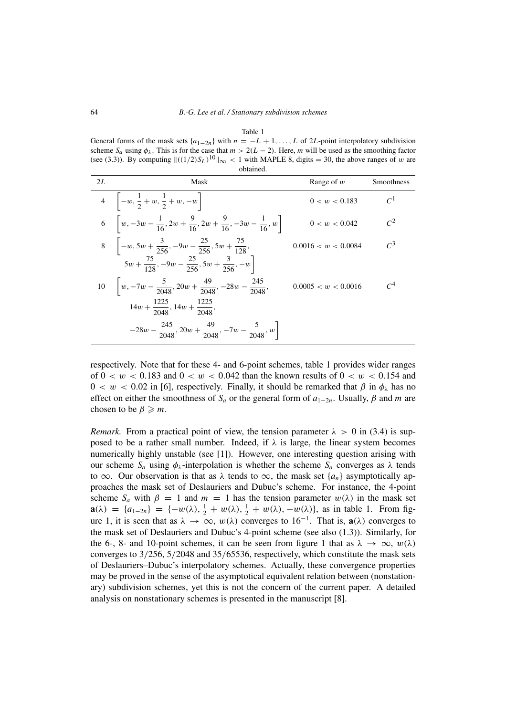Table 1 General forms of the mask sets  $\{a_{1-2n}\}$  with  $n = -L + 1, \ldots, L$  of 2*L*-point interpolatory subdivision scheme  $S_a$  using  $\phi_\lambda$ . This is for the case that  $m > 2(L - 2)$ . Here, *m* will be used as the smoothing factor (see (3.3)). By computing  $\|((1/2)S_L)^{10}\|_{\infty}$  < 1 with MAPLE 8, digits = 30, the above ranges of *w* are obtained.

| 2L | Mask                                                                                         | Range of $w$        | Smoothness      |
|----|----------------------------------------------------------------------------------------------|---------------------|-----------------|
|    | 4 $\Big[-w, \frac{1}{2} + w, \frac{1}{2} + w, -w \Big]$                                      | 0 < w < 0.183       | $C^1$           |
|    | 6 $w, -3w - \frac{1}{16}, 2w + \frac{9}{16}, 2w + \frac{9}{16}, -3w - \frac{1}{16}, w$       | 0 < w < 0.042       | $\mathcal{C}^2$ |
|    | 8 $\left[-w, 5w + \frac{3}{256}, -9w - \frac{25}{256}, 5w + \frac{75}{128}\right]$           | 0.0016 < w < 0.0084 | $\mathcal{C}^3$ |
|    | $5w + \frac{75}{128}$ , $-9w - \frac{25}{256}$ , $5w + \frac{3}{256}$ , $-w$                 |                     |                 |
|    | 10 $\left  w, -7w - \frac{5}{2048}, 20w + \frac{49}{2048}, -28w - \frac{245}{2048}, \right $ | 0.0005 < w < 0.0016 | $\mathcal{C}^4$ |
|    | $14w + \frac{1225}{2048}$ , $14w + \frac{1225}{2048}$ ,                                      |                     |                 |
|    | $-28w - \frac{245}{2048}, 20w + \frac{49}{2048}, -7w - \frac{5}{2048}, w$                    |                     |                 |

respectively. Note that for these 4- and 6-point schemes, table 1 provides wider ranges of  $0 < w < 0.183$  and  $0 < w < 0.042$  than the known results of  $0 < w < 0.154$  and  $0 < w < 0.02$  in [6], respectively. Finally, it should be remarked that  $\beta$  in  $\phi_{\lambda}$  has no effect on either the smoothness of  $S_a$  or the general form of  $a_{1-2n}$ . Usually,  $\beta$  and  $m$  are chosen to be  $\beta \geq m$ .

*Remark.* From a practical point of view, the tension parameter  $\lambda > 0$  in (3.4) is supposed to be a rather small number. Indeed, if  $\lambda$  is large, the linear system becomes numerically highly unstable (see [1]). However, one interesting question arising with our scheme  $S_a$  using  $\phi_\lambda$ -interpolation is whether the scheme  $S_a$  converges as  $\lambda$  tends to  $\infty$ . Our observation is that as  $\lambda$  tends to  $\infty$ , the mask set {*a<sub>n</sub>*} asymptotically approaches the mask set of Deslauriers and Dubuc's scheme. For instance, the 4-point scheme  $S_a$  with  $\beta = 1$  and  $m = 1$  has the tension parameter  $w(\lambda)$  in the mask set  $\mathbf{a}(\lambda) = \{a_{1-2n}\} = \{-w(\lambda), \frac{1}{2} + w(\lambda), \frac{1}{2} + w(\lambda), -w(\lambda)\}\$ , as in table 1. From figure 1, it is seen that as  $\lambda \to \infty$ ,  $w(\lambda)$  converges to 16<sup>-1</sup>. That is,  $a(\lambda)$  converges to the mask set of Deslauriers and Dubuc's 4-point scheme (see also (1.3)). Similarly, for the 6-, 8- and 10-point schemes, it can be seen from figure 1 that as  $\lambda \to \infty$ ,  $w(\lambda)$ converges to 3*/*256, 5*/*2048 and 35*/*65536, respectively, which constitute the mask sets of Deslauriers–Dubuc's interpolatory schemes. Actually, these convergence properties may be proved in the sense of the asymptotical equivalent relation between (nonstationary) subdivision schemes, yet this is not the concern of the current paper. A detailed analysis on nonstationary schemes is presented in the manuscript [8].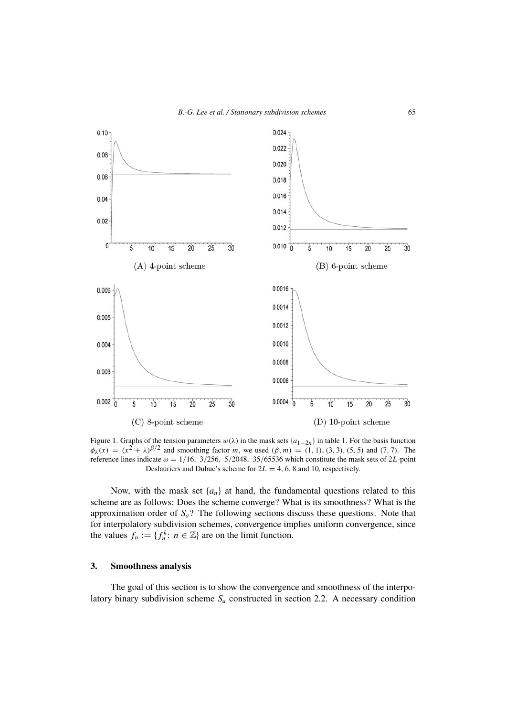

Figure 1. Graphs of the tension parameters  $w(\lambda)$  in the mask sets  $\{a_{1-2n}\}$  in table 1. For the basis function *φ*<sub>λ</sub>(*x*) =  $(x^2 + λ)^{\beta/2}$  and smoothing factor *m*, we used  $(β, m) = (1, 1), (3, 3), (5, 5)$  and  $(7, 7)$ . The reference lines indicate  $\omega = 1/16$ , 3/256*,* 5/2048*,* 35/65536 which constitute the mask sets of 2*L*-point Deslauriers and Dubuc's scheme for 2*L* = 4*,* 6*,* 8 and 10, respectively.

Now, with the mask set  $\{a_n\}$  at hand, the fundamental questions related to this scheme are as follows: Does the scheme converge? What is its smoothness? What is the approximation order of *Sa*? The following sections discuss these questions. Note that for interpolatory subdivision schemes, convergence implies uniform convergence, since the values  $f_n := \{f_n^k : n \in \mathbb{Z}\}\$ are on the limit function.

### **3. Smoothness analysis**

The goal of this section is to show the convergence and smoothness of the interpolatory binary subdivision scheme  $S_a$  constructed in section 2.2. A necessary condition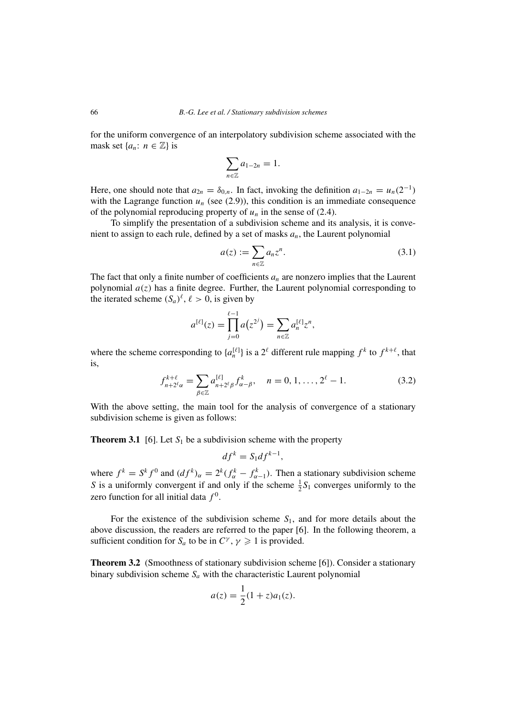for the uniform convergence of an interpolatory subdivision scheme associated with the mask set  $\{a_n: n \in \mathbb{Z}\}\$ is

$$
\sum_{n\in\mathbb{Z}}a_{1-2n}=1.
$$

Here, one should note that  $a_{2n} = \delta_{0,n}$ . In fact, invoking the definition  $a_{1-2n} = u_n(2^{-1})$ with the Lagrange function  $u_n$  (see  $(2.9)$ ), this condition is an immediate consequence of the polynomial reproducing property of  $u_n$  in the sense of (2.4).

To simplify the presentation of a subdivision scheme and its analysis, it is convenient to assign to each rule, defined by a set of masks *an*, the Laurent polynomial

$$
a(z) := \sum_{n \in \mathbb{Z}} a_n z^n.
$$
\n(3.1)

The fact that only a finite number of coefficients  $a_n$  are nonzero implies that the Laurent polynomial  $a(z)$  has a finite degree. Further, the Laurent polynomial corresponding to the iterated scheme  $(S_a)^{\ell}$ ,  $\ell > 0$ , is given by

$$
a^{[\ell]}(z) = \prod_{j=0}^{\ell-1} a(z^{2^j}) = \sum_{n \in \mathbb{Z}} a_n^{[\ell]} z^n,
$$

where the scheme corresponding to  $\{a_n^{[\ell]}\}\$ is a  $2^{\ell}$  different rule mapping  $f^k$  to  $f^{k+\ell}$ , that is,

$$
f_{n+2^{\ell}\alpha}^{k+\ell} = \sum_{\beta \in \mathbb{Z}} a_{n+2^{\ell}\beta}^{[\ell]} f_{\alpha-\beta}^{k}, \quad n = 0, 1, ..., 2^{\ell} - 1.
$$
 (3.2)

With the above setting, the main tool for the analysis of convergence of a stationary subdivision scheme is given as follows:

**Theorem 3.1** [6]. Let  $S_1$  be a subdivision scheme with the property

$$
df^k = S_1 df^{k-1},
$$

where  $f^k = S^k f^0$  and  $(df^k)_{\alpha} = 2^k (f^k_{\alpha} - f^k_{\alpha-1})$ . Then a stationary subdivision scheme *S* is a uniformly convergent if and only if the scheme  $\frac{1}{2}S_1$  converges uniformly to the zero function for all initial data  $f^0$ .

For the existence of the subdivision scheme *S*1, and for more details about the above discussion, the readers are referred to the paper [6]. In the following theorem, a sufficient condition for  $S_a$  to be in  $C^{\gamma}$ ,  $\gamma \geq 1$  is provided.

**Theorem 3.2** (Smoothness of stationary subdivision scheme [6]). Consider a stationary binary subdivision scheme  $S_a$  with the characteristic Laurent polynomial

$$
a(z) = \frac{1}{2}(1+z)a_1(z).
$$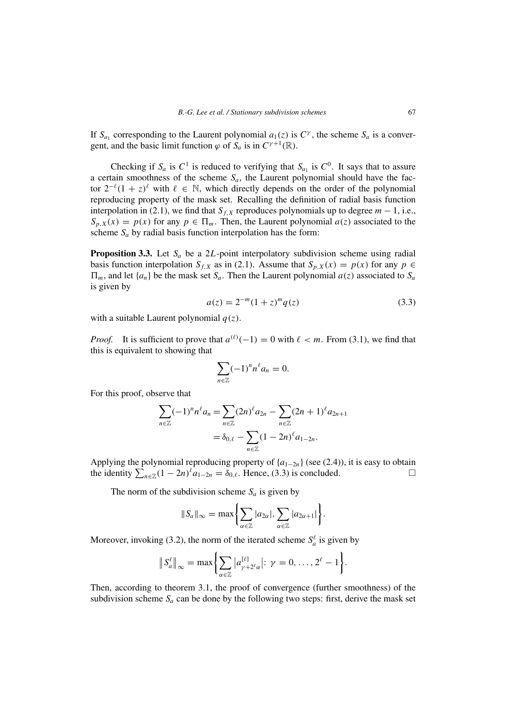If  $S_{a_1}$  corresponding to the Laurent polynomial  $a_1(z)$  is  $C^{\gamma}$ , the scheme  $S_a$  is a convergent, and the basic limit function  $\varphi$  of  $S_a$  is in  $C^{\gamma+1}(\mathbb{R})$ .

Checking if  $S_a$  is  $C^1$  is reduced to verifying that  $S_{a_1}$  is  $C^0$ . It says that to assure a certain smoothness of the scheme  $S_a$ , the Laurent polynomial should have the factor  $2^{-\ell}(1+z)^{\ell}$  with  $\ell \in \mathbb{N}$ , which directly depends on the order of the polynomial reproducing property of the mask set. Recalling the definition of radial basis function interpolation in (2.1), we find that  $S_{f,X}$  reproduces polynomials up to degree  $m - 1$ , i.e.,  $S_{p,X}(x) = p(x)$  for any  $p \in \Pi_m$ . Then, the Laurent polynomial  $a(z)$  associated to the scheme  $S_a$  by radial basis function interpolation has the form:

**Proposition 3.3.** Let  $S_a$  be a 2L-point interpolatory subdivision scheme using radial basis function interpolation *S<sub>f,X</sub>* as in (2.1). Assume that  $S_{p,X}(x) = p(x)$  for any  $p \in$  $\Pi_m$ , and let  $\{a_n\}$  be the mask set  $S_a$ . Then the Laurent polynomial  $a(z)$  associated to  $S_a$ is given by

$$
a(z) = 2^{-m}(1+z)^m q(z)
$$
 (3.3)

with a suitable Laurent polynomial *q(z)*.

*Proof.* It is sufficient to prove that  $a^{(\ell)}(-1) = 0$  with  $\ell < m$ . From (3.1), we find that this is equivalent to showing that

$$
\sum_{n\in\mathbb{Z}}(-1)^n n^\ell a_n=0.
$$

For this proof, observe that

$$
\sum_{n \in \mathbb{Z}} (-1)^n n^\ell a_n = \sum_{n \in \mathbb{Z}} (2n)^\ell a_{2n} - \sum_{n \in \mathbb{Z}} (2n+1)^\ell a_{2n+1}
$$

$$
= \delta_{0,\ell} - \sum_{n \in \mathbb{Z}} (1 - 2n)^\ell a_{1-2n}.
$$

Applying the polynomial reproducing property of  $\{a_{1-2n}\}$  (see (2.4)), it is easy to obtain the identity  $\sum_{n\in\mathbb{Z}} (1-2n)^{\ell} a_{1-2n} = \delta_{0,\ell}$ . Hence, (3.3) is concluded.

The norm of the subdivision scheme  $S_a$  is given by

$$
||S_a||_{\infty} = \max \left\{ \sum_{\alpha \in \mathbb{Z}} |a_{2\alpha}|, \sum_{\alpha \in \mathbb{Z}} |a_{2\alpha+1}| \right\}.
$$

Moreover, invoking (3.2), the norm of the iterated scheme  $S_a^{\ell}$  is given by

$$
\|S_a^{\ell}\|_{\infty} = \max\left\{\sum_{\alpha \in \mathbb{Z}} |a_{\gamma+2^{\ell}\alpha}^{[\ell]}|: \gamma = 0, \ldots, 2^{\ell}-1\right\}.
$$

Then, according to theorem 3.1, the proof of convergence (further smoothness) of the subdivision scheme  $S_a$  can be done by the following two steps: first, derive the mask set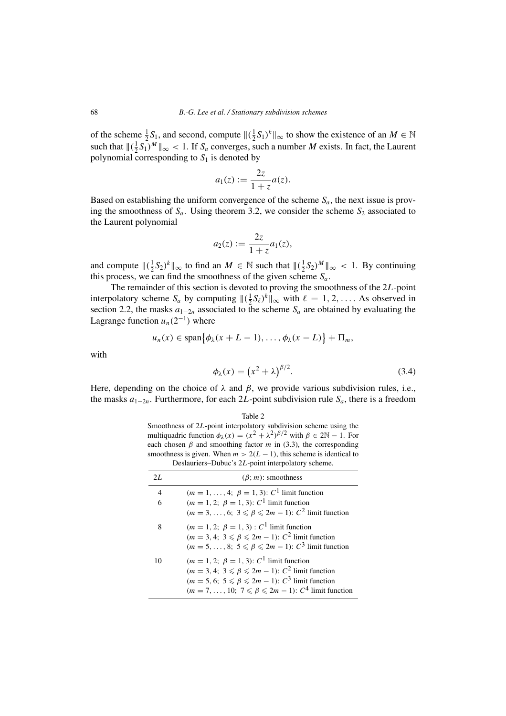of the scheme  $\frac{1}{2}S_1$ , and second, compute  $\|(\frac{1}{2}S_1)^k\|_{\infty}$  to show the existence of an  $M \in \mathbb{N}$ such that  $\left\| \left( \frac{1}{2} S_1 \right)^M \right\|_{\infty} < 1$ . If  $S_a$  converges, such a number *M* exists. In fact, the Laurent polynomial corresponding to  $S_1$  is denoted by

$$
a_1(z) := \frac{2z}{1+z}a(z).
$$

Based on establishing the uniform convergence of the scheme  $S_a$ , the next issue is proving the smoothness of  $S_a$ . Using theorem 3.2, we consider the scheme  $S_2$  associated to the Laurent polynomial

$$
a_2(z) := \frac{2z}{1+z} a_1(z),
$$

and compute  $\|(\frac{1}{2}S_2)^k\|_{\infty}$  to find an  $M \in \mathbb{N}$  such that  $\|(\frac{1}{2}S_2)^M\|_{\infty} < 1$ . By continuing this process, we can find the smoothness of the given scheme  $S_a$ .

The remainder of this section is devoted to proving the smoothness of the 2*L*-point interpolatory scheme  $S_a$  by computing  $\|(\frac{1}{2}S_\ell)^k\|_\infty$  with  $\ell = 1, 2, \ldots$ . As observed in section 2.2, the masks  $a_{1-2n}$  associated to the scheme  $S_a$  are obtained by evaluating the Lagrange function  $u_n(2^{-1})$  where

$$
u_n(x) \in \text{span}\{\phi_\lambda(x+L-1),\ldots,\phi_\lambda(x-L)\}+\Pi_m,
$$

with

$$
\phi_{\lambda}(x) = \left(x^2 + \lambda\right)^{\beta/2}.\tag{3.4}
$$

Here, depending on the choice of  $\lambda$  and  $\beta$ , we provide various subdivision rules, i.e., the masks *a*1−2*<sup>n</sup>*. Furthermore, for each 2*L*-point subdivision rule *Sa*, there is a freedom

#### Table 2

Smoothness of 2*L*-point interpolatory subdivision scheme using the multiquadric function  $\phi_{\lambda}(x) = (x^2 + \lambda^2)^{\beta/2}$  with  $\beta \in 2\mathbb{N} - 1$ . For each chosen  $\beta$  and smoothing factor  $m$  in (3.3), the corresponding smoothness is given. When  $m > 2(L - 1)$ , this scheme is identical to Deslauriers–Dubuc's 2*L*-point interpolatory scheme.

| 2L             | $(\beta; m)$ : smoothness                                              |
|----------------|------------------------------------------------------------------------|
| $\overline{4}$ | $(m = 1, \ldots, 4; \ \beta = 1, 3)$ : $C^1$ limit function            |
| 6              | $(m = 1, 2; \beta = 1, 3); C1$ limit function                          |
|                | $(m = 3, \ldots, 6; 3 \leq \beta \leq 2m - 1)$ : $C^2$ limit function  |
| 8              | $(m = 1, 2; \ \beta = 1, 3) : C^1$ limit function                      |
|                | $(m = 3, 4; 3 \leq \beta \leq 2m - 1)$ : $C^2$ limit function          |
|                | $(m = 5, \ldots, 8; 5 \leq \beta \leq 2m - 1); C^3$ limit function     |
| 10             | $(m = 1, 2; \beta = 1, 3): C1$ limit function                          |
|                | $(m = 3, 4; 3 \leq \beta \leq 2m - 1)$ : $C^2$ limit function          |
|                | $(m = 5, 6; 5 \leq \beta \leq 2m - 1)$ : $C^3$ limit function          |
|                | $(m = 7, \ldots, 10; 7 \leq \beta \leq 2m - 1)$ : $C^4$ limit function |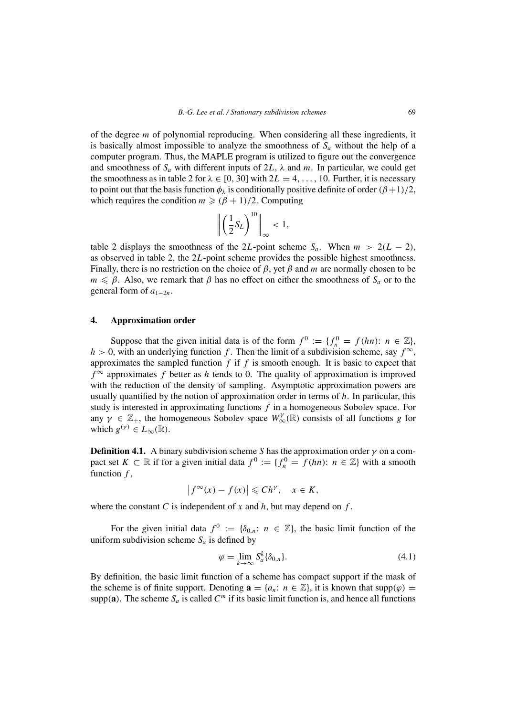of the degree *m* of polynomial reproducing. When considering all these ingredients, it is basically almost impossible to analyze the smoothness of  $S_a$  without the help of a computer program. Thus, the MAPLE program is utilized to figure out the convergence and smoothness of  $S_a$  with different inputs of  $2L$ ,  $\lambda$  and  $m$ . In particular, we could get the smoothness as in table 2 for  $\lambda \in [0, 30]$  with  $2L = 4, \ldots, 10$ . Further, it is necessary to point out that the basis function  $\phi_{\lambda}$  is conditionally positive definite of order  $(\beta + 1)/2$ , which requires the condition  $m \ge (\beta + 1)/2$ . Computing

$$
\left\| \left( \frac{1}{2} S_L \right)^{10} \right\|_{\infty} < 1,
$$

table 2 displays the smoothness of the 2L-point scheme  $S_a$ . When  $m > 2(L - 2)$ , as observed in table 2, the 2*L*-point scheme provides the possible highest smoothness. Finally, there is no restriction on the choice of *β*, yet *β* and *m* are normally chosen to be  $m \leq \beta$ . Also, we remark that  $\beta$  has no effect on either the smoothness of  $S_a$  or to the general form of  $a_{1-2n}$ .

## **4. Approximation order**

Suppose that the given initial data is of the form  $f^0 := \{f_n^0 = f(hn): n \in \mathbb{Z}\},\$  $h > 0$ , with an underlying function *f*. Then the limit of a subdivision scheme, say  $f^{\infty}$ , approximates the sampled function *f* if *f* is smooth enough. It is basic to expect that  $f^{\infty}$  approximates *f* better as *h* tends to 0. The quality of approximation is improved with the reduction of the density of sampling. Asymptotic approximation powers are usually quantified by the notion of approximation order in terms of *h*. In particular, this study is interested in approximating functions *f* in a homogeneous Sobolev space. For any  $\gamma \in \mathbb{Z}_+$ , the homogeneous Sobolev space  $W^{\gamma}_{\infty}(\mathbb{R})$  consists of all functions *g* for which  $g^{(\gamma)} \in L_\infty(\mathbb{R})$ .

**Definition 4.1.** A binary subdivision scheme *S* has the approximation order  $\gamma$  on a compact set  $K \subset \mathbb{R}$  if for a given initial data  $f^0 := \{f_n^0 = f(hn): n \in \mathbb{Z}\}\)$  with a smooth function *f* ,

$$
\left|f^{\infty}(x) - f(x)\right| \leqslant Ch^{\gamma}, \quad x \in K,
$$

where the constant *C* is independent of  $x$  and  $h$ , but may depend on  $f$ .

For the given initial data  $f^0 := \{\delta_{0,n}: n \in \mathbb{Z}\}\$ , the basic limit function of the uniform subdivision scheme  $S_a$  is defined by

$$
\varphi = \lim_{k \to \infty} S_a^k \{ \delta_{0,n} \}. \tag{4.1}
$$

By definition, the basic limit function of a scheme has compact support if the mask of the scheme is of finite support. Denoting  $\mathbf{a} = \{a_n : n \in \mathbb{Z}\},\$ it is known that supp $(\varphi)$  = supp $(a)$ . The scheme  $S_a$  is called  $C^m$  if its basic limit function is, and hence all functions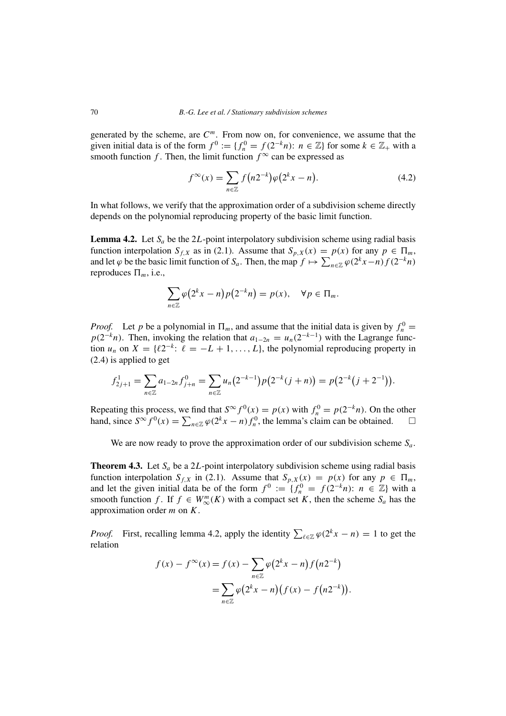generated by the scheme, are *C<sup>m</sup>*. From now on, for convenience, we assume that the given initial data is of the form  $f^0 := \{f_n^0 = f(2^{-k}n): n \in \mathbb{Z}\}\)$  for some  $k \in \mathbb{Z}_+$  with a smooth function *f*. Then, the limit function  $f^{\infty}$  can be expressed as

$$
f^{\infty}(x) = \sum_{n \in \mathbb{Z}} f(n2^{-k}) \varphi(2^{k} x - n).
$$
 (4.2)

In what follows, we verify that the approximation order of a subdivision scheme directly depends on the polynomial reproducing property of the basic limit function.

**Lemma 4.2.** Let  $S_a$  be the 2L-point interpolatory subdivision scheme using radial basis function interpolation *S<sub>f,X</sub>* as in (2.1). Assume that  $S_{p,X}(x) = p(x)$  for any  $p \in \Pi_m$ , and let  $\varphi$  be the basic limit function of  $S_a$ . Then, the map  $f \mapsto \sum_{n \in \mathbb{Z}} \varphi(2^k x - n) f(2^{-k}n)$ reproduces  $\Pi_m$ , i.e.,

$$
\sum_{n\in\mathbb{Z}}\varphi\big(2^kx-n\big)p\big(2^{-k}n\big)=p(x),\quad\forall p\in\Pi_m.
$$

*Proof.* Let *p* be a polynomial in  $\Pi_m$ , and assume that the initial data is given by  $f_n^0$  =  $p(2^{-k}n)$ . Then, invoking the relation that  $a_{1-2n} = u_n(2^{-k-1})$  with the Lagrange function  $u_n$  on  $X = \{ \ell 2^{-k} : \ell = -L + 1, \ldots, L \}$ , the polynomial reproducing property in (2.4) is applied to get

$$
f_{2j+1}^1 = \sum_{n \in \mathbb{Z}} a_{1-2n} f_{j+n}^0 = \sum_{n \in \mathbb{Z}} u_n (2^{-k-1}) p(2^{-k}(j+n)) = p(2^{-k}(j+2^{-1})).
$$

Repeating this process, we find that  $S^{\infty} f^{0}(x) = p(x)$  with  $f_{n}^{0} = p(2^{-k}n)$ . On the other hand, since  $S^{\infty} f^{0}(x) = \sum_{n \in \mathbb{Z}} \varphi(2^{k} x - n) f_{n}^{0}$ , the lemma's claim can be obtained.  $\square$ 

We are now ready to prove the approximation order of our subdivision scheme *Sa*.

**Theorem 4.3.** Let  $S_a$  be a 2L-point interpolatory subdivision scheme using radial basis function interpolation *S<sub>f,X</sub>* in (2.1). Assume that  $S_{p,X}(x) = p(x)$  for any  $p \in \Pi_m$ , and let the given initial data be of the form  $f^0 := \{f_n^0 = f(2^{-k}n): n \in \mathbb{Z}\}\)$  with a smooth function *f*. If  $f \in W_{\infty}^{m}(K)$  with a compact set *K*, then the scheme  $S_a$  has the approximation order *m* on *K*.

*Proof.* First, recalling lemma 4.2, apply the identity  $\sum_{\ell \in \mathbb{Z}} \varphi(2^k x - n) = 1$  to get the relation

$$
f(x) - f^{\infty}(x) = f(x) - \sum_{n \in \mathbb{Z}} \varphi(2^{k} x - n) f(n2^{-k})
$$
  
= 
$$
\sum_{n \in \mathbb{Z}} \varphi(2^{k} x - n) (f(x) - f(n2^{-k})).
$$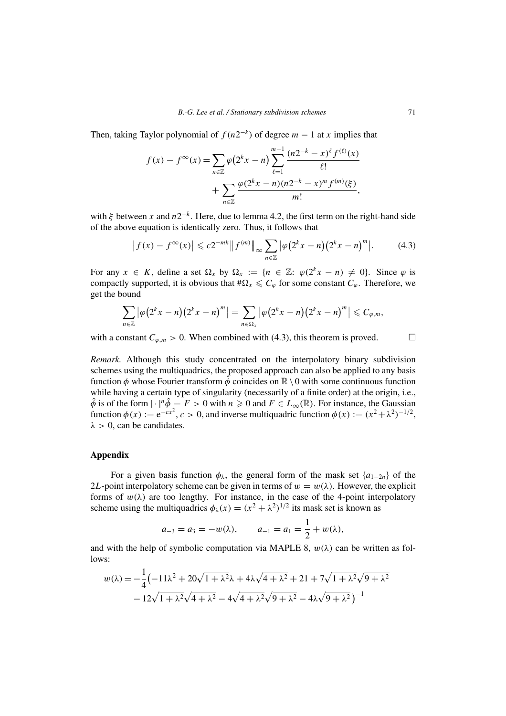Then, taking Taylor polynomial of  $f(n2^{-k})$  of degree  $m-1$  at *x* implies that

$$
f(x) - f^{\infty}(x) = \sum_{n \in \mathbb{Z}} \varphi(2^{k} x - n) \sum_{\ell=1}^{m-1} \frac{(n2^{-k} - x)^{\ell} f^{(\ell)}(x)}{\ell!} + \sum_{n \in \mathbb{Z}} \frac{\varphi(2^{k} x - n)(n2^{-k} - x)^{m} f^{(m)}(\xi)}{m!},
$$

with *ξ* between *x* and *n*2<sup>−</sup>*<sup>k</sup>*. Here, due to lemma 4.2, the first term on the right-hand side of the above equation is identically zero. Thus, it follows that

$$
\left| f(x) - f^{\infty}(x) \right| \leqslant c 2^{-mk} \left\| f^{(m)} \right\|_{\infty} \sum_{n \in \mathbb{Z}} \left| \varphi(2^k x - n) (2^k x - n)^m \right|.
$$
 (4.3)

For any  $x \in K$ , define a set  $\Omega_x$  by  $\Omega_x := \{n \in \mathbb{Z} : \varphi(2^k x - n) \neq 0\}$ . Since  $\varphi$  is compactly supported, it is obvious that  $\#\Omega_x \leqslant C_\varphi$  for some constant  $C_\varphi$ . Therefore, we get the bound

$$
\sum_{n\in\mathbb{Z}}\left|\varphi\big(2^kx-n\big)\big(2^kx-n\big)^m\right|=\sum_{n\in\Omega_x}\left|\varphi\big(2^kx-n\big)\big(2^kx-n\big)^m\right|\leqslant C_{\varphi,m},
$$

with a constant  $C_{\varphi,m} > 0$ . When combined with (4.3), this theorem is proved.  $\square$ 

*Remark.* Although this study concentrated on the interpolatory binary subdivision schemes using the multiquadrics, the proposed approach can also be applied to any basis function  $\phi$  whose Fourier transform  $\hat{\phi}$  coincides on  $\mathbb{R}\setminus 0$  with some continuous function while having a certain type of singularity (necessarily of a finite order) at the origin, i.e.,  $\hat{\phi}$  is of the form  $|\cdot|^n \hat{\phi} = F > 0$  with  $n \ge 0$  and  $F \in L_{\infty}(\mathbb{R})$ . For instance, the Gaussian function  $\phi(x) := e^{-cx^2}$ ,  $c > 0$ , and inverse multiquadric function  $\phi(x) := (x^2 + \lambda^2)^{-1/2}$ ,  $\lambda > 0$ , can be candidates.

# **Appendix**

For a given basis function  $\phi_{\lambda}$ , the general form of the mask set {*a*<sub>1−2*n*</sub>} of the 2*L*-point interpolatory scheme can be given in terms of  $w = w(\lambda)$ . However, the explicit forms of  $w(\lambda)$  are too lengthy. For instance, in the case of the 4-point interpolatory scheme using the multiquadrics  $\phi_1(x) = (x^2 + \lambda^2)^{1/2}$  its mask set is known as

$$
a_{-3} = a_3 = -w(\lambda),
$$
  $a_{-1} = a_1 = \frac{1}{2} + w(\lambda),$ 

and with the help of symbolic computation via MAPLE 8,  $w(\lambda)$  can be written as follows:

$$
w(\lambda) = -\frac{1}{4} \left( -11\lambda^2 + 20\sqrt{1 + \lambda^2}\lambda + 4\lambda\sqrt{4 + \lambda^2} + 21 + 7\sqrt{1 + \lambda^2}\sqrt{9 + \lambda^2} - 12\sqrt{1 + \lambda^2}\sqrt{4 + \lambda^2} - 4\sqrt{4 + \lambda^2}\sqrt{9 + \lambda^2} - 4\lambda\sqrt{9 + \lambda^2} \right)^{-1}
$$